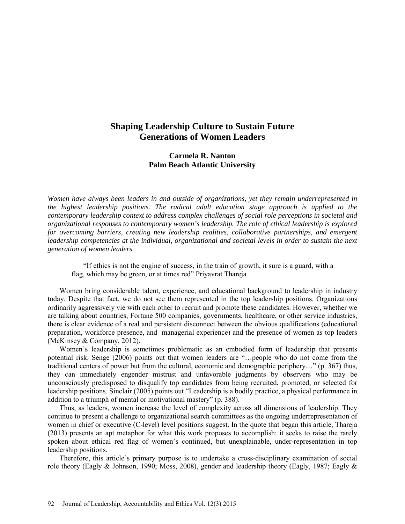# **Shaping Leadership Culture to Sustain Future Generations of Women Leaders**

## **Carmela R. Nanton Palm Beach Atlantic University**

*Women have always been leaders in and outside of organizations, yet they remain underrepresented in the highest leadership positions. The radical adult education stage approach is applied to the contemporary leadership context to address complex challenges of social role perceptions in societal and organizational responses to contemporary women's leadership. The role of ethical leadership is explored for overcoming barriers, creating new leadership realities, collaborative partnerships, and emergent leadership competencies at the individual, organizational and societal levels in order to sustain the next generation of women leaders.* 

"If ethics is not the engine of success, in the train of growth, it sure is a guard, with a flag, which may be green, or at times red" [Priyavrat Thareja](http://www.goodreads.com/author/show/6560469.Priyavrat_Thareja)

Women bring considerable talent, experience, and educational background to leadership in industry today. Despite that fact, we do not see them represented in the top leadership positions. Organizations ordinarily aggressively vie with each other to recruit and promote these candidates. However, whether we are talking about countries, Fortune 500 companies, governments, healthcare, or other service industries, there is clear evidence of a real and persistent disconnect between the obvious qualifications (educational preparation, workforce presence, and managerial experience) and the presence of women as top leaders (McKinsey & Company, 2012).

Women's leadership is sometimes problematic as an embodied form of leadership that presents potential risk. Senge (2006) points out that women leaders are "…people who do not come from the traditional centers of power but from the cultural, economic and demographic periphery…" (p. 367) thus, they can immediately engender mistrust and unfavorable judgments by observers who may be unconsciously predisposed to disqualify top candidates from being recruited, promoted, or selected for leadership positions. Sinclair (2005) points out "Leadership is a bodily practice, a physical performance in addition to a triumph of mental or motivational mastery" (p. 388).

Thus, as leaders, women increase the level of complexity across all dimensions of leadership. They continue to present a challenge to organizational search committees as the ongoing underrepresentation of women in chief or executive (C-level) level positions suggest. In the quote that began this article, Thareja (2013) presents an apt metaphor for what this work proposes to accomplish: it seeks to raise the rarely spoken about ethical red flag of women's continued, but unexplainable, under-representation in top leadership positions.

Therefore, this article's primary purpose is to undertake a cross-disciplinary examination of social role theory (Eagly & Johnson, 1990; Moss, 2008), gender and leadership theory (Eagly, 1987; Eagly &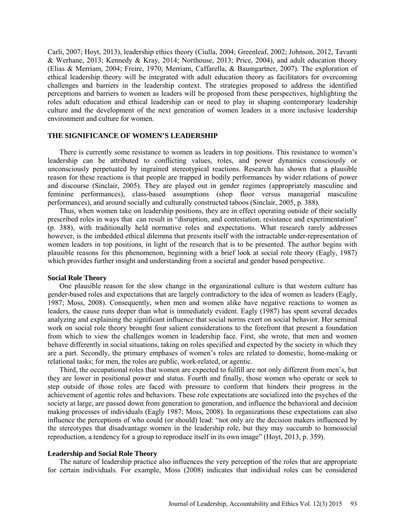Carli, 2007; Hoyt, 2013), leadership ethics theory (Ciulla, 2004; Greenleaf, 2002; Johnson, 2012, Tavanti & Werhane, 2013; Kennedy & Kray, 2014; Northouse, 2013; Price, 2004), and adult education theory (Elias & Merriam, 2004; Freire, 1970; Merriam, Caffarella, & Baumgartner, 2007). The exploration of ethical leadership theory will be integrated with adult education theory as facilitators for overcoming challenges and barriers in the leadership context. The strategies proposed to address the identified perceptions and barriers to women as leaders will be proposed from these perspectives, highlighting the roles adult education and ethical leadership can or need to play in shaping contemporary leadership culture and the development of the next generation of women leaders in a more inclusive leadership environment and culture for women.

### **THE SIGNIFICANCE OF WOMEN'S LEADERSHIP**

There is currently some resistance to women as leaders in top positions. This resistance to women's leadership can be attributed to conflicting values, roles, and power dynamics consciously or unconsciously perpetuated by ingrained stereotypical reactions. Research has shown that a plausible reason for these reactions is that people are trapped in bodily performances by wider relations of power and discourse (Sinclair, 2005). They are played out in gender regimes (appropriately masculine and feminine performances), class-based assumptions (shop floor versus managerial masculine performances), and around socially and culturally constructed taboos (Sinclair, 2005, p. 388).

Thus, when women take on leadership positions, they are in effect operating outside of their socially prescribed roles in ways that can result in "disruption, and contestation, resistance and experimentation" (p. 388), with traditionally held normative roles and expectations. What research rarely addresses however, is the imbedded ethical dilemma that presents itself with the intractable under-representation of women leaders in top positions, in light of the research that is to be presented. The author begins with plausible reasons for this phenomenon, beginning with a brief look at social role theory (Eagly, 1987) which provides further insight and understanding from a societal and gender based perspective.

### **Social Role Theory**

One plausible reason for the slow change in the organizational culture is that western culture has gender-based roles and expectations that are largely contradictory to the idea of women as leaders (Eagly, 1987; Moss, 2008). Consequently, when men and women alike have negative reactions to women as leaders, the cause runs deeper than what is immediately evident. Eagly (1987) has spent several decades analyzing and explaining the significant influence that social norms exert on social behavior. Her seminal work on social role theory brought four salient considerations to the forefront that present a foundation from which to view the challenges women in leadership face. First, she wrote, that men and women behave differently in social situations, taking on roles specified and expected by the society in which they are a part. Secondly, the primary emphases of women's roles are related to domestic, home-making or relational tasks; for men, the roles are public, work-related, or agentic.

Third, the occupational roles that women are expected to fulfill are not only different from men's, but they are lower in positional power and status. Fourth and finally, those women who operate or seek to step outside of those roles are faced with pressure to conform that hinders their progress in the achievement of agentic roles and behaviors. These role expectations are socialized into the psyches of the society at large, are passed down from generation to generation, and influence the behavioral and decision making processes of individuals (Eagly 1987; Moss, 2008). In organizations these expectations can also influence the perceptions of who could (or should) lead: "not only are the decision makers influenced by the stereotypes that disadvantage women in the leadership role, but they may succumb to homosocial reproduction, a tendency for a group to reproduce itself in its own image" (Hoyt, 2013, p. 359).

#### **Leadership and Social Role Theory**

The nature of leadership practice also influences the very perception of the roles that are appropriate for certain individuals. For example, Moss (2008) indicates that individual roles can be considered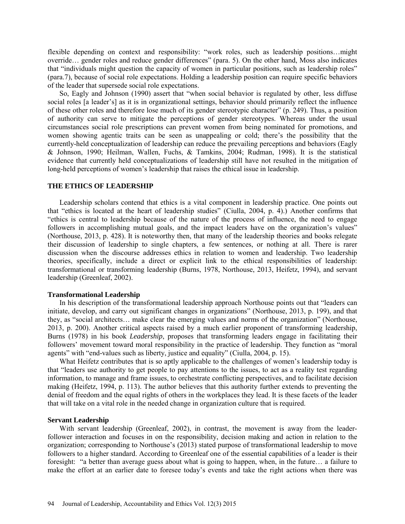flexible depending on context and responsibility: "work roles, such as leadership positions…might override… gender roles and reduce gender differences" (para. 5). On the other hand, Moss also indicates that "individuals might question the capacity of women in particular positions, such as leadership roles" (para.7), because of social role expectations. Holding a leadership position can require specific behaviors of the leader that supersede social role expectations.

So, Eagly and Johnson (1990) assert that "when social behavior is regulated by other, less diffuse social roles [a leader's] as it is in organizational settings, behavior should primarily reflect the influence of these other roles and therefore lose much of its gender stereotypic character" (p. 249). Thus, a position of authority can serve to mitigate the perceptions of gender stereotypes. Whereas under the usual circumstances social role prescriptions can prevent women from being nominated for promotions, and women showing agentic traits can be seen as unappealing or cold; there's the possibility that the currently-held conceptualization of leadership can reduce the prevailing perceptions and behaviors (Eagly & Johnson, 1990; Heilman, Wallen, Fuchs, & Tamkins, 2004; Rudman, 1998). It is the statistical evidence that currently held conceptualizations of leadership still have not resulted in the mitigation of long-held perceptions of women's leadership that raises the ethical issue in leadership.

### **THE ETHICS OF LEADERSHIP**

Leadership scholars contend that ethics is a vital component in leadership practice. One points out that "ethics is located at the heart of leadership studies" (Ciulla, 2004, p. 4).) Another confirms that "ethics is central to leadership because of the nature of the process of influence, the need to engage followers in accomplishing mutual goals, and the impact leaders have on the organization's values" (Northouse, 2013, p. 428). It is noteworthy then, that many of the leadership theories and books relegate their discussion of leadership to single chapters, a few sentences, or nothing at all. There is rarer discussion when the discourse addresses ethics in relation to women and leadership. Two leadership theories, specifically, include a direct or explicit link to the ethical responsibilities of leadership: transformational or transforming leadership (Burns, 1978, Northouse, 2013, Heifetz, 1994), and servant leadership (Greenleaf, 2002).

### **Transformational Leadership**

In his description of the transformational leadership approach Northouse points out that "leaders can initiate, develop, and carry out significant changes in organizations" (Northouse, 2013, p. 199), and that they, as "social architects… make clear the emerging values and norms of the organization" (Northouse, 2013, p. 200). Another critical aspects raised by a much earlier proponent of transforming leadership, Burns (1978) in his book *Leadership*, proposes that transforming leaders engage in facilitating their followers' movement toward moral responsibility in the practice of leadership. They function as "moral agents" with "end-values such as liberty, justice and equality" (Ciulla, 2004, p. 15).

What Heifetz contributes that is so aptly applicable to the challenges of women's leadership today is that "leaders use authority to get people to pay attentions to the issues, to act as a reality test regarding information, to manage and frame issues, to orchestrate conflicting perspectives, and to facilitate decision making (Heifetz, 1994, p. 113). The author believes that this authority further extends to preventing the denial of freedom and the equal rights of others in the workplaces they lead. It is these facets of the leader that will take on a vital role in the needed change in organization culture that is required.

#### **Servant Leadership**

With servant leadership (Greenleaf, 2002), in contrast, the movement is away from the leaderfollower interaction and focuses in on the responsibility, decision making and action in relation to the organization; corresponding to Northouse's (2013) stated purpose of transformational leadership to move followers to a higher standard. According to Greenleaf one of the essential capabilities of a leader is their foresight: "a better than average guess about what is going to happen, when, in the future… a failure to make the effort at an earlier date to foresee today's events and take the right actions when there was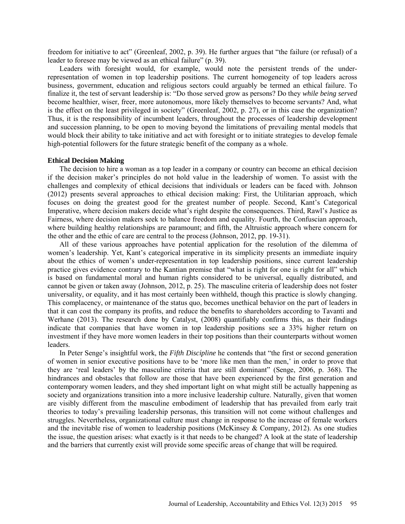freedom for initiative to act" (Greenleaf, 2002, p. 39). He further argues that "the failure (or refusal) of a leader to foresee may be viewed as an ethical failure" (p. 39).

Leaders with foresight would, for example, would note the persistent trends of the underrepresentation of women in top leadership positions. The current homogeneity of top leaders across business, government, education and religious sectors could arguably be termed an ethical failure. To finalize it, the test of servant leadership is: "Do those served grow as persons? Do they *while being served* become healthier, wiser, freer, more autonomous, more likely themselves to become servants? And, what is the effect on the least privileged in society" (Greenleaf, 2002, p. 27), or in this case the organization? Thus, it is the responsibility of incumbent leaders, throughout the processes of leadership development and succession planning, to be open to moving beyond the limitations of prevailing mental models that would block their ability to take initiative and act with foresight or to initiate strategies to develop female high-potential followers for the future strategic benefit of the company as a whole.

### **Ethical Decision Making**

The decision to hire a woman as a top leader in a company or country can become an ethical decision if the decision maker's principles do not hold value in the leadership of women. To assist with the challenges and complexity of ethical decisions that individuals or leaders can be faced with. Johnson (2012) presents several approaches to ethical decision making: First, the Utilitarian approach, which focuses on doing the greatest good for the greatest number of people. Second, Kant's Categorical Imperative, where decision makers decide what's right despite the consequences. Third, Rawl's Justice as Fairness, where decision makers seek to balance freedom and equality. Fourth, the Confuscian approach, where building healthy relationships are paramount; and fifth, the Altruistic approach where concern for the other and the ethic of care are central to the process (Johnson, 2012, pp. 19-31).

All of these various approaches have potential application for the resolution of the dilemma of women's leadership. Yet, Kant's categorical imperative in its simplicity presents an immediate inquiry about the ethics of women's under-representation in top leadership positions, since current leadership practice gives evidence contrary to the Kantian premise that "what is right for one is right for all" which is based on fundamental moral and human rights considered to be universal, equally distributed, and cannot be given or taken away (Johnson, 2012, p. 25). The masculine criteria of leadership does not foster universality, or equality, and it has most certainly been withheld, though this practice is slowly changing. This complacency, or maintenance of the status quo, becomes unethical behavior on the part of leaders in that it can cost the company its profits, and reduce the benefits to shareholders according to Tavanti and Werhane (2013). The research done by Catalyst, (2008) quantifiably confirms this, as their findings indicate that companies that have women in top leadership positions see a 33% higher return on investment if they have more women leaders in their top positions than their counterparts without women leaders.

In Peter Senge's insightful work, the *Fifth Discipline* he contends that "the first or second generation of women in senior executive positions have to be 'more like men than the men,' in order to prove that they are 'real leaders' by the masculine criteria that are still dominant" (Senge, 2006, p. 368). The hindrances and obstacles that follow are those that have been experienced by the first generation and contemporary women leaders, and they shed important light on what might still be actually happening as society and organizations transition into a more inclusive leadership culture. Naturally, given that women are visibly different from the masculine embodiment of leadership that has prevailed from early trait theories to today's prevailing leadership personas, this transition will not come without challenges and struggles. Nevertheless, organizational culture must change in response to the increase of female workers and the inevitable rise of women to leadership positions (McKinsey & Company, 2012). As one studies the issue, the question arises: what exactly is it that needs to be changed? A look at the state of leadership and the barriers that currently exist will provide some specific areas of change that will be required.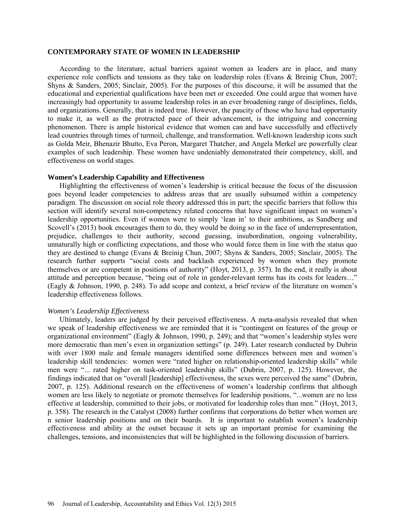#### **CONTEMPORARY STATE OF WOMEN IN LEADERSHIP**

According to the literature, actual barriers against women as leaders are in place, and many experience role conflicts and tensions as they take on leadership roles (Evans & Breinig Chun, 2007; Shyns & Sanders, 2005; Sinclair, 2005). For the purposes of this discourse, it will be assumed that the educational and experiential qualifications have been met or exceeded. One could argue that women have increasingly had opportunity to assume leadership roles in an ever broadening range of disciplines, fields, and organizations. Generally, that is indeed true. However, the paucity of those who have had opportunity to make it, as well as the protracted pace of their advancement, is the intriguing and concerning phenomenon. There is ample historical evidence that women can and have successfully and effectively lead countries through times of turmoil, challenge, and transformation. Well-known leadership icons such as Golda Meir, Bhenazir Bhutto, Eva Peron, Margaret Thatcher, and Angela Merkel are powerfully clear examples of such leadership. These women have undeniably demonstrated their competency, skill, and effectiveness on world stages.

#### **Women's Leadership Capability and Effectiveness**

Highlighting the effectiveness of women's leadership is critical because the focus of the discussion goes beyond leader competencies to address areas that are usually subsumed within a competency paradigm. The discussion on social role theory addressed this in part; the specific barriers that follow this section will identify several non-competency related concerns that have significant impact on women's leadership opportunities. Even if women were to simply 'lean in' to their ambitions, as Sandberg and Scovell's (2013) book encourages them to do, they would be doing so in the face of underrepresentation, prejudice, challenges to their authority, second guessing, insubordination, ongoing vulnerability, unnaturally high or conflicting expectations, and those who would force them in line with the status quo they are destined to change (Evans & Breinig Chun, 2007; Shyns & Sanders, 2005; Sinclair, 2005). The research further supports "social costs and backlash experienced by women when they promote themselves or are competent in positions of authority" (Hoyt, 2013, p. 357). In the end, it really is about attitude and perception because, "being out of role in gender-relevant terms has its costs for leaders…" (Eagly & Johnson, 1990, p. 248). To add scope and context, a brief review of the literature on women's leadership effectiveness follows.

### *Women's Leadership Effectiveness*

Ultimately, leaders are judged by their perceived effectiveness. A meta-analysis revealed that when we speak of leadership effectiveness we are reminded that it is "contingent on features of the group or organizational environment" (Eagly & Johnson, 1990, p. 249); and that "women's leadership styles were more democratic than men's even in organization settings" (p. 249). Later research conducted by Dubrin with over 1800 male and female managers identified some differences between men and women's leadership skill tendencies: women were "rated higher on relationship-oriented leadership skills" while men were "... rated higher on task-oriented leadership skills" (Dubrin, 2007, p. 125). However, the findings indicated that on "overall [leadership] effectiveness, the sexes were perceived the same" (Dubrin, 2007, p. 125). Additional research on the effectiveness of women's leadership confirms that although women are less likely to negotiate or promote themselves for leadership positions, "...women are no less effective at leadership, committed to their jobs, or motivated for leadership roles than men." (Hoyt, 2013, p. 358). The research in the Catalyst (2008) further confirms that corporations do better when women are n senior leadership positions and on their boards. It is important to establish women's leadership effectiveness and ability at the outset because it sets up an important premise for examining the challenges, tensions, and inconsistencies that will be highlighted in the following discussion of barriers.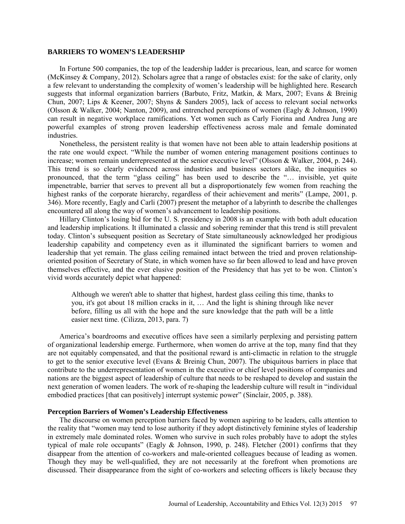#### **BARRIERS TO WOMEN'S LEADERSHIP**

In Fortune 500 companies, the top of the leadership ladder is precarious, lean, and scarce for women (McKinsey & Company, 2012). Scholars agree that a range of obstacles exist: for the sake of clarity, only a few relevant to understanding the complexity of women's leadership will be highlighted here. Research suggests that informal organization barriers (Barbuto, Fritz, Matkin, & Marx, 2007; Evans & Breinig Chun, 2007; Lips & Keener, 2007; Shyns & Sanders 2005), lack of access to relevant social networks (Olsson & Walker, 2004; Nanton, 2009), and entrenched perceptions of women (Eagly & Johnson, 1990) can result in negative workplace ramifications. Yet women such as Carly Fiorina and Andrea Jung are powerful examples of strong proven leadership effectiveness across male and female dominated industries.

Nonetheless, the persistent reality is that women have not been able to attain leadership positions at the rate one would expect. "While the number of women entering management positions continues to increase; women remain underrepresented at the senior executive level" (Olsson & Walker, 2004, p. 244). This trend is so clearly evidenced across industries and business sectors alike, the inequities so pronounced, that the term "glass ceiling" has been used to describe the "… invisible, yet quite impenetrable, barrier that serves to prevent all but a disproportionately few women from reaching the highest ranks of the corporate hierarchy, regardless of their achievement and merits" (Lampe, 2001, p. 346). More recently, Eagly and Carli (2007) present the metaphor of a labyrinth to describe the challenges encountered all along the way of women's advancement to leadership positions.

Hillary Clinton's losing bid for the U. S. presidency in 2008 is an example with both adult education and leadership implications. It illuminated a classic and sobering reminder that this trend is still prevalent today. Clinton's subsequent position as Secretary of State simultaneously acknowledged her prodigious leadership capability and competency even as it illuminated the significant barriers to women and leadership that yet remain. The glass ceiling remained intact between the tried and proven relationshiporiented position of Secretary of State, in which women have so far been allowed to lead and have proven themselves effective, and the ever elusive position of the Presidency that has yet to be won. Clinton's vivid words accurately depict what happened:

Although we weren't able to shatter that highest, hardest glass ceiling this time, thanks to you, it's got about 18 million cracks in it, … And the light is shining through like never before, filling us all with the hope and the sure knowledge that the path will be a little easier next time. (Cilizza, 2013, para. 7)

America's boardrooms and executive offices have seen a similarly perplexing and persisting pattern of organizational leadership emerge. Furthermore, when women do arrive at the top, many find that they are not equitably compensated, and that the positional reward is anti-climactic in relation to the struggle to get to the senior executive level (Evans & Breinig Chun, 2007). The ubiquitous barriers in place that contribute to the underrepresentation of women in the executive or chief level positions of companies and nations are the biggest aspect of leadership of culture that needs to be reshaped to develop and sustain the next generation of women leaders. The work of re-shaping the leadership culture will result in "individual embodied practices [that can positively] interrupt systemic power" (Sinclair, 2005, p. 388).

### **Perception Barriers of Women's Leadership Effectiveness**

The discourse on women perception barriers faced by women aspiring to be leaders, calls attention to the reality that "women may tend to lose authority if they adopt distinctively feminine styles of leadership in extremely male dominated roles. Women who survive in such roles probably have to adopt the styles typical of male role occupants" (Eagly & Johnson, 1990, p. 248). Fletcher (2001) confirms that they disappear from the attention of co-workers and male-oriented colleagues because of leading as women. Though they may be well-qualified, they are not necessarily at the forefront when promotions are discussed. Their disappearance from the sight of co-workers and selecting officers is likely because they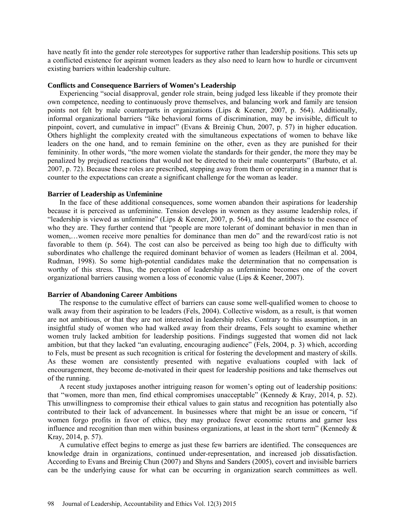have neatly fit into the gender role stereotypes for supportive rather than leadership positions. This sets up a conflicted existence for aspirant women leaders as they also need to learn how to hurdle or circumvent existing barriers within leadership culture.

### **Conflicts and Consequence Barriers of Women's Leadership**

Experiencing "social disapproval, gender role strain, being judged less likeable if they promote their own competence, needing to continuously prove themselves, and balancing work and family are tension points not felt by male counterparts in organizations (Lips & Keener, 2007, p. 564). Additionally, informal organizational barriers "like behavioral forms of discrimination, may be invisible, difficult to pinpoint, covert, and cumulative in impact" (Evans & Breinig Chun, 2007, p. 57) in higher education. Others highlight the complexity created with the simultaneous expectations of women to behave like leaders on the one hand, and to remain feminine on the other, even as they are punished for their femininity. In other words, "the more women violate the standards for their gender, the more they may be penalized by prejudiced reactions that would not be directed to their male counterparts" (Barbuto, et al. 2007, p. 72). Because these roles are prescribed, stepping away from them or operating in a manner that is counter to the expectations can create a significant challenge for the woman as leader.

### **Barrier of Leadership as Unfeminine**

In the face of these additional consequences, some women abandon their aspirations for leadership because it is perceived as unfeminine. Tension develops in women as they assume leadership roles, if "leadership is viewed as unfeminine" (Lips & Keener, 2007, p. 564), and the antithesis to the essence of who they are. They further contend that "people are more tolerant of dominant behavior in men than in women,…women receive more penalties for dominance than men do" and the reward/cost ratio is not favorable to them (p. 564). The cost can also be perceived as being too high due to difficulty with subordinates who challenge the required dominant behavior of women as leaders (Heilman et al. 2004, Rudman, 1998). So some high-potential candidates make the determination that no compensation is worthy of this stress. Thus, the perception of leadership as unfeminine becomes one of the covert organizational barriers causing women a loss of economic value (Lips & Keener, 2007).

### **Barrier of Abandoning Career Ambitions**

The response to the cumulative effect of barriers can cause some well-qualified women to choose to walk away from their aspiration to be leaders (Fels, 2004). Collective wisdom, as a result, is that women are not ambitious, or that they are not interested in leadership roles. Contrary to this assumption, in an insightful study of women who had walked away from their dreams, Fels sought to examine whether women truly lacked ambition for leadership positions. Findings suggested that women did not lack ambition, but that they lacked "an evaluating, encouraging audience" (Fels, 2004, p. 3) which, according to Fels, must be present as such recognition is critical for fostering the development and mastery of skills. As these women are consistently presented with negative evaluations coupled with lack of encouragement, they become de-motivated in their quest for leadership positions and take themselves out of the running.

A recent study juxtaposes another intriguing reason for women's opting out of leadership positions: that "women, more than men, find ethical compromises unacceptable" (Kennedy & Kray, 2014, p. 52). This unwillingness to compromise their ethical values to gain status and recognition has potentially also contributed to their lack of advancement. In businesses where that might be an issue or concern, "if women forgo profits in favor of ethics, they may produce fewer economic returns and garner less influence and recognition than men within business organizations, at least in the short term" (Kennedy  $\&$ Kray, 2014, p. 57).

A cumulative effect begins to emerge as just these few barriers are identified. The consequences are knowledge drain in organizations, continued under-representation, and increased job dissatisfaction. According to Evans and Breinig Chun (2007) and Shyns and Sanders (2005), covert and invisible barriers can be the underlying cause for what can be occurring in organization search committees as well.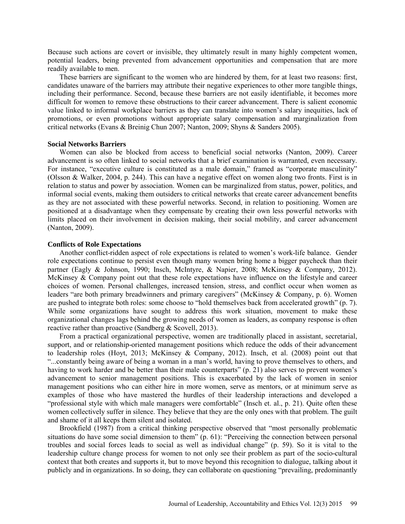Because such actions are covert or invisible, they ultimately result in many highly competent women, potential leaders, being prevented from advancement opportunities and compensation that are more readily available to men.

These barriers are significant to the women who are hindered by them, for at least two reasons: first, candidates unaware of the barriers may attribute their negative experiences to other more tangible things, including their performance. Second, because these barriers are not easily identifiable, it becomes more difficult for women to remove these obstructions to their career advancement. There is salient economic value linked to informal workplace barriers as they can translate into women's salary inequities, lack of promotions, or even promotions without appropriate salary compensation and marginalization from critical networks (Evans & Breinig Chun 2007; Nanton, 2009; Shyns & Sanders 2005).

#### **Social Networks Barriers**

Women can also be blocked from access to beneficial social networks (Nanton, 2009). Career advancement is so often linked to social networks that a brief examination is warranted, even necessary. For instance, "executive culture is constituted as a male domain," framed as "corporate masculinity" (Olsson & Walker, 2004, p. 244). This can have a negative effect on women along two fronts. First is in relation to status and power by association. Women can be marginalized from status, power, politics, and informal social events, making them outsiders to critical networks that create career advancement benefits as they are not associated with these powerful networks. Second, in relation to positioning. Women are positioned at a disadvantage when they compensate by creating their own less powerful networks with limits placed on their involvement in decision making, their social mobility, and career advancement (Nanton, 2009).

### **Conflicts of Role Expectations**

Another conflict-ridden aspect of role expectations is related to women's work-life balance. Gender role expectations continue to persist even though many women bring home a bigger paycheck than their partner (Eagly & Johnson, 1990; Insch, McIntyre, & Napier, 2008; McKinsey & Company, 2012). McKinsey & Company point out that these role expectations have influence on the lifestyle and career choices of women. Personal challenges, increased tension, stress, and conflict occur when women as leaders "are both primary breadwinners and primary caregivers" (McKinsey & Company, p. 6). Women are pushed to integrate both roles: some choose to "hold themselves back from accelerated growth" (p. 7). While some organizations have sought to address this work situation, movement to make these organizational changes lags behind the growing needs of women as leaders, as company response is often reactive rather than proactive (Sandberg & Scovell, 2013).

From a practical organizational perspective, women are traditionally placed in assistant, secretarial, support, and or relationship-oriented management positions which reduce the odds of their advancement to leadership roles (Hoyt, 2013; McKinsey & Company, 2012). Insch, et al. (2008) point out that "...constantly being aware of being a woman in a man's world, having to prove themselves to others, and having to work harder and be better than their male counterparts" (p. 21) also serves to prevent women's advancement to senior management positions. This is exacerbated by the lack of women in senior management positions who can either hire in more women, serve as mentors, or at minimum serve as examples of those who have mastered the hurdles of their leadership interactions and developed a "professional style with which male managers were comfortable" (Insch et. al., p. 21). Quite often these women collectively suffer in silence. They believe that they are the only ones with that problem. The guilt and shame of it all keeps them silent and isolated.

Brookfield (1987) from a critical thinking perspective observed that "most personally problematic situations do have some social dimension to them" (p. 61): "Perceiving the connection between personal troubles and social forces leads to social as well as individual change" (p. 59). So it is vital to the leadership culture change process for women to not only see their problem as part of the socio-cultural context that both creates and supports it, but to move beyond this recognition to dialogue, talking about it publicly and in organizations. In so doing, they can collaborate on questioning "prevailing, predominantly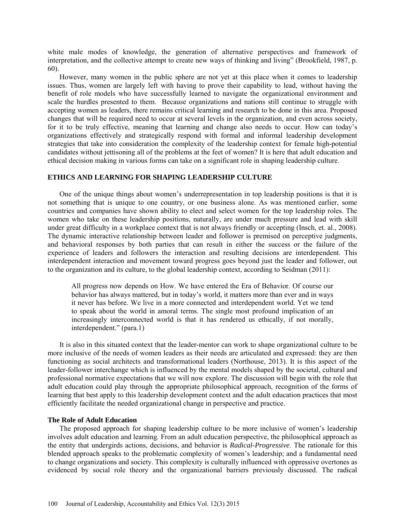white male modes of knowledge, the generation of alternative perspectives and framework of interpretation, and the collective attempt to create new ways of thinking and living" (Brookfield, 1987, p. 60).

However, many women in the public sphere are not yet at this place when it comes to leadership issues. Thus, women are largely left with having to prove their capability to lead, without having the benefit of role models who have successfully learned to navigate the organizational environment and scale the hurdles presented to them. Because organizations and nations still continue to struggle with accepting women as leaders, there remains critical learning and research to be done in this area. Proposed changes that will be required need to occur at several levels in the organization, and even across society, for it to be truly effective, meaning that learning and change also needs to occur. How can today's organizations effectively and strategically respond with formal and informal leadership development strategies that take into consideration the complexity of the leadership context for female high-potential candidates without jettisoning all of the problems at the feet of women? It is here that adult education and ethical decision making in various forms can take on a significant role in shaping leadership culture.

### **ETHICS AND LEARNING FOR SHAPING LEADERSHIP CULTURE**

One of the unique things about women's underrepresentation in top leadership positions is that it is not something that is unique to one country, or one business alone. As was mentioned earlier, some countries and companies have shown ability to elect and select women for the top leadership roles. The women who take on these leadership positions, naturally, are under much pressure and lead with skill under great difficulty in a workplace context that is not always friendly or accepting (Insch, et. al., 2008). The dynamic interactive relationship between leader and follower is premised on perceptive judgments, and behavioral responses by both parties that can result in either the success or the failure of the experience of leaders and followers the interaction and resulting decisions are interdependent. This interdependent interaction and movement toward progress goes beyond just the leader and follower, out to the organization and its culture, to the global leadership context, according to Seidman (2011):

All progress now depends on How. We have entered the Era of Behavior. Of course our behavior has always mattered, but in today's world, it matters more than ever and in ways it never has before. We live in a more connected and interdependent world. Yet we tend to speak about the world in amoral terms. The single most profound implication of an increasingly interconnected world is that it has rendered us ethically, if not morally, interdependent." (para.1)

It is also in this situated context that the leader-mentor can work to shape organizational culture to be more inclusive of the needs of women leaders as their needs are articulated and expressed: they are then functioning as social architects and transformational leaders (Northouse, 2013). It is this aspect of the leader-follower interchange which is influenced by the mental models shaped by the societal, cultural and professional normative expectations that we will now explore. The discussion will begin with the role that adult education could play through the appropriate philosophical approach, recognition of the forms of learning that best apply to this leadership development context and the adult education practices that most efficiently facilitate the needed organizational change in perspective and practice.

#### **The Role of Adult Education**

The proposed approach for shaping leadership culture to be more inclusive of women's leadership involves adult education and learning. From an adult education perspective, the philosophical approach as the entity that undergirds actions, decisions, and behavior is *Radical-Progressive*. The rationale for this blended approach speaks to the problematic complexity of women's leadership; and a fundamental need to change organizations and society. This complexity is culturally influenced with oppressive overtones as evidenced by social role theory and the organizational barriers previously discussed. The radical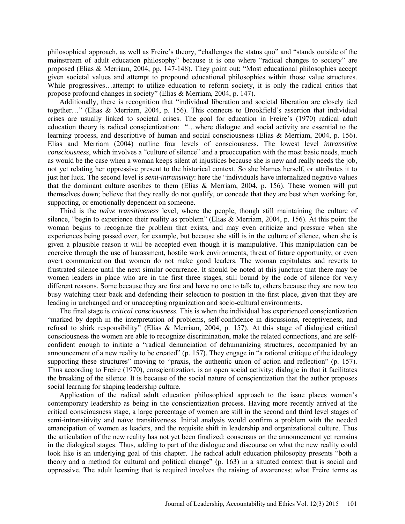philosophical approach, as well as Freire's theory, "challenges the status quo" and "stands outside of the mainstream of adult education philosophy" because it is one where "radical changes to society" are proposed (Elias & Merriam, 2004, pp. 147-148). They point out: "Most educational philosophies accept given societal values and attempt to propound educational philosophies within those value structures. While progressives...attempt to utilize education to reform society, it is only the radical critics that propose profound changes in society" (Elias & Merriam, 2004, p. 147).

Additionally, there is recognition that "individual liberation and societal liberation are closely tied together…" (Elias & Merriam, 2004, p. 156). This connects to Brookfield's assertion that individual crises are usually linked to societal crises. The goal for education in Freire's (1970) radical adult education theory is radical consçientization: "…where dialogue and social activity are essential to the learning process, and descriptive of human and social consciousness (Elias & Merriam, 2004, p. 156). Elias and Merriam (2004) outline four levels of consciousness. The lowest level *intransitive consciousness*, which involves a "culture of silence" and a preoccupation with the most basic needs, much as would be the case when a woman keeps silent at injustices because she is new and really needs the job, not yet relating her oppressive present to the historical context. So she blames herself, or attributes it to just her luck. The second level is *semi-intransivity*: here the "individuals have internalized negative values that the dominant culture ascribes to them (Elias & Merriam, 2004, p. 156). These women will put themselves down; believe that they really do not qualify, or concede that they are best when working for, supporting, or emotionally dependent on someone.

Third is the *naïve transitiveness* level, where the people, though still maintaining the culture of silence, "begin to experience their reality as problem" (Elias & Merriam, 2004, p. 156). At this point the woman begins to recognize the problem that exists, and may even criticize and pressure when she experiences being passed over, for example, but because she still is in the culture of silence, when she is given a plausible reason it will be accepted even though it is manipulative. This manipulation can be coercive through the use of harassment, hostile work environments, threat of future opportunity, or even overt communication that women do not make good leaders. The woman capitulates and reverts to frustrated silence until the next similar occurrence. It should be noted at this juncture that there may be women leaders in place who are in the first three stages, still bound by the code of silence for very different reasons. Some because they are first and have no one to talk to, others because they are now too busy watching their back and defending their selection to position in the first place, given that they are leading in unchanged and or unaccepting organization and socio-cultural environments.

The final stage is *critical consciousness*. This is when the individual has experienced consçientization "marked by depth in the interpretation of problems, self-confidence in discussions, receptiveness, and refusal to shirk responsibility" (Elias & Merriam, 2004, p. 157). At this stage of dialogical critical consciousness the women are able to recognize discrimination, make the related connections, and are selfconfident enough to initiate a "radical denunciation of dehumanizing structures, accompanied by an announcement of a new reality to be created" (p. 157). They engage in "a rational critique of the ideology supporting these structures" moving to "praxis, the authentic union of action and reflection" (p. 157). Thus according to Freire (1970), consçientization, is an open social activity; dialogic in that it facilitates the breaking of the silence. It is because of the social nature of consçientization that the author proposes social learning for shaping leadership culture.

Application of the radical adult education philosophical approach to the issue places women's contemporary leadership as being in the conscientization process. Having more recently arrived at the critical consciousness stage, a large percentage of women are still in the second and third level stages of semi-intransitivity and naïve transitiveness. Initial analysis would confirm a problem with the needed emancipation of women as leaders, and the requisite shift in leadership and organizational culture. Thus the articulation of the new reality has not yet been finalized: consensus on the announcement yet remains in the dialogical stages. Thus, adding to part of the dialogue and discourse on what the new reality could look like is an underlying goal of this chapter. The radical adult education philosophy presents "both a theory and a method for cultural and political change" (p. 163) in a situated context that is social and oppressive. The adult learning that is required involves the raising of awareness: what Freire terms as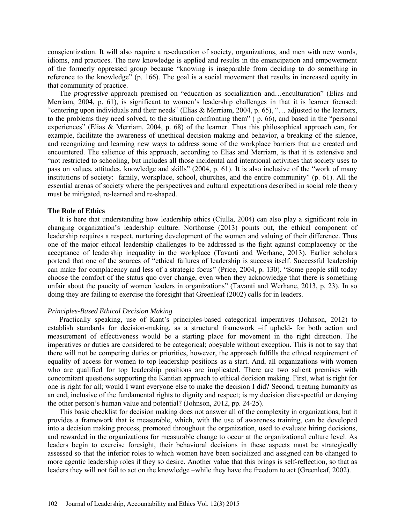consçientization. It will also require a re-education of society, organizations, and men with new words, idioms, and practices. The new knowledge is applied and results in the emancipation and empowerment of the formerly oppressed group because "knowing is inseparable from deciding to do something in reference to the knowledge" (p. 166). The goal is a social movement that results in increased equity in that community of practice.

The *progressive* approach premised on "education as socialization and…enculturation" (Elias and Merriam, 2004, p. 61), is significant to women's leadership challenges in that it is learner focused: "centering upon individuals and their needs" (Elias & Merriam, 2004, p. 65), "... adjusted to the learners, to the problems they need solved, to the situation confronting them"  $(p. 66)$ , and based in the "personal" experiences" (Elias & Merriam, 2004, p. 68) of the learner. Thus this philosophical approach can, for example, facilitate the awareness of unethical decision making and behavior, a breaking of the silence, and recognizing and learning new ways to address some of the workplace barriers that are created and encountered. The salience of this approach, according to Elias and Merriam, is that it is extensive and "not restricted to schooling, but includes all those incidental and intentional activities that society uses to pass on values, attitudes, knowledge and skills" (2004, p. 61). It is also inclusive of the "work of many institutions of society: family, workplace, school, churches, and the entire community" (p. 61). All the essential arenas of society where the perspectives and cultural expectations described in social role theory must be mitigated, re-learned and re-shaped.

### **The Role of Ethics**

It is here that understanding how leadership ethics (Ciulla, 2004) can also play a significant role in changing organization's leadership culture. Northouse (2013) points out, the ethical component of leadership requires a respect, nurturing development of the women and valuing of their difference. Thus one of the major ethical leadership challenges to be addressed is the fight against complacency or the acceptance of leadership inequality in the workplace (Tavanti and Werhane, 2013). Earlier scholars portend that one of the sources of "ethical failures of leadership is success itself. Successful leadership can make for complacency and less of a strategic focus" (Price, 2004, p. 130). "Some people still today choose the comfort of the status quo over change, even when they acknowledge that there is something unfair about the paucity of women leaders in organizations" (Tavanti and Werhane, 2013, p. 23). In so doing they are failing to exercise the foresight that Greenleaf (2002) calls for in leaders.

### *Principles-Based Ethical Decision Making*

Practically speaking, use of Kant's principles-based categorical imperatives (Johnson, 2012) to establish standards for decision-making, as a structural framework –if upheld- for both action and measurement of effectiveness would be a starting place for movement in the right direction. The imperatives or duties are considered to be categorical; obeyable without exception. This is not to say that there will not be competing duties or priorities, however, the approach fulfills the ethical requirement of equality of access for women to top leadership positions as a start. And, all organizations with women who are qualified for top leadership positions are implicated. There are two salient premises with concomitant questions supporting the Kantian approach to ethical decision making. First, what is right for one is right for all; would I want everyone else to make the decision I did? Second, treating humanity as an end, inclusive of the fundamental rights to dignity and respect; is my decision disrespectful or denying the other person's human value and potential? (Johnson, 2012, pp. 24-25).

This basic checklist for decision making does not answer all of the complexity in organizations, but it provides a framework that is measurable, which, with the use of awareness training, can be developed into a decision making process, promoted throughout the organization, used to evaluate hiring decisions, and rewarded in the organizations for measurable change to occur at the organizational culture level. As leaders begin to exercise foresight, their behavioral decisions in these aspects must be strategically assessed so that the inferior roles to which women have been socialized and assigned can be changed to more agentic leadership roles if they so desire. Another value that this brings is self-reflection, so that as leaders they will not fail to act on the knowledge –while they have the freedom to act (Greenleaf, 2002).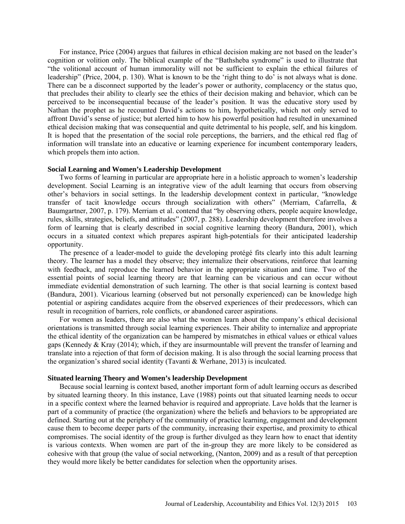For instance, Price (2004) argues that failures in ethical decision making are not based on the leader's cognition or volition only. The biblical example of the "Bathsheba syndrome" is used to illustrate that "the volitional account of human immorality will not be sufficient to explain the ethical failures of leadership" (Price, 2004, p. 130). What is known to be the 'right thing to do' is not always what is done. There can be a disconnect supported by the leader's power or authority, complacency or the status quo, that precludes their ability to clearly see the ethics of their decision making and behavior, which can be perceived to be inconsequential because of the leader's position. It was the educative story used by Nathan the prophet as he recounted David's actions to him, hypothetically, which not only served to affront David's sense of justice; but alerted him to how his powerful position had resulted in unexamined ethical decision making that was consequential and quite detrimental to his people, self, and his kingdom. It is hoped that the presentation of the social role perceptions, the barriers, and the ethical red flag of information will translate into an educative or learning experience for incumbent contemporary leaders, which propels them into action.

#### **Social Learning and Women's Leadership Development**

Two forms of learning in particular are appropriate here in a holistic approach to women's leadership development. Social Learning is an integrative view of the adult learning that occurs from observing other's behaviors in social settings. In the leadership development context in particular, "knowledge transfer of tacit knowledge occurs through socialization with others" (Merriam, Cafarrella, & Baumgartner, 2007, p. 179). Merriam et al. contend that "by observing others, people acquire knowledge, rules, skills, strategies, beliefs, and attitudes" (2007, p. 288). Leadership development therefore involves a form of learning that is clearly described in social cognitive learning theory (Bandura, 2001), which occurs in a situated context which prepares aspirant high-potentials for their anticipated leadership opportunity.

The presence of a leader-model to guide the developing protégé fits clearly into this adult learning theory. The learner has a model they observe; they internalize their observations, reinforce that learning with feedback, and reproduce the learned behavior in the appropriate situation and time. Two of the essential points of social learning theory are that learning can be vicarious and can occur without immediate evidential demonstration of such learning. The other is that social learning is context based (Bandura, 2001). Vicarious learning (observed but not personally experienced) can be knowledge high potential or aspiring candidates acquire from the observed experiences of their predecessors, which can result in recognition of barriers, role conflicts, or abandoned career aspirations.

For women as leaders, there are also what the women learn about the company's ethical decisional orientations is transmitted through social learning experiences. Their ability to internalize and appropriate the ethical identity of the organization can be hampered by mismatches in ethical values or ethical values gaps (Kennedy & Kray (2014); which, if they are insurmountable will prevent the transfer of learning and translate into a rejection of that form of decision making. It is also through the social learning process that the organization's shared social identity (Tavanti & Werhane, 2013) is inculcated.

### **Situated learning Theory and Women's leadership Development**

Because social learning is context based, another important form of adult learning occurs as described by situated learning theory. In this instance, Lave (1988) points out that situated learning needs to occur in a specific context where the learned behavior is required and appropriate. Lave holds that the learner is part of a community of practice (the organization) where the beliefs and behaviors to be appropriated are defined. Starting out at the periphery of the community of practice learning, engagement and development cause them to become deeper parts of the community, increasing their expertise, and proximity to ethical compromises. The social identity of the group is further divulged as they learn how to enact that identity is various contexts. When women are part of the in-group they are more likely to be considered as cohesive with that group (the value of social networking, (Nanton, 2009) and as a result of that perception they would more likely be better candidates for selection when the opportunity arises.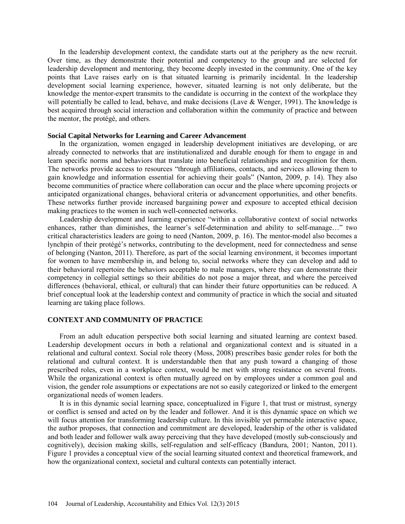In the leadership development context, the candidate starts out at the periphery as the new recruit. Over time, as they demonstrate their potential and competency to the group and are selected for leadership development and mentoring, they become deeply invested in the community. One of the key points that Lave raises early on is that situated learning is primarily incidental. In the leadership development social learning experience, however, situated learning is not only deliberate, but the knowledge the mentor-expert transmits to the candidate is occurring in the context of the workplace they will potentially be called to lead, behave, and make decisions (Lave & Wenger, 1991). The knowledge is best acquired through social interaction and collaboration within the community of practice and between the mentor, the protégé, and others.

### **Social Capital Networks for Learning and Career Advancement**

In the organization, women engaged in leadership development initiatives are developing, or are already connected to networks that are institutionalized and durable enough for them to engage in and learn specific norms and behaviors that translate into beneficial relationships and recognition for them. The networks provide access to resources "through affiliations, contacts, and services allowing them to gain knowledge and information essential for achieving their goals" (Nanton, 2009, p. 14). They also become communities of practice where collaboration can occur and the place where upcoming projects or anticipated organizational changes, behavioral criteria or advancement opportunities, and other benefits. These networks further provide increased bargaining power and exposure to accepted ethical decision making practices to the women in such well-connected networks.

Leadership development and learning experience "within a collaborative context of social networks enhances, rather than diminishes, the learner's self-determination and ability to self-manage…" two critical characteristics leaders are going to need (Nanton, 2009, p. 16). The mentor-model also becomes a lynchpin of their protégé's networks, contributing to the development, need for connectedness and sense of belonging (Nanton, 2011). Therefore, as part of the social learning environment, it becomes important for women to have membership in, and belong to, social networks where they can develop and add to their behavioral repertoire the behaviors acceptable to male managers, where they can demonstrate their competency in collegial settings so their abilities do not pose a major threat, and where the perceived differences (behavioral, ethical, or cultural) that can hinder their future opportunities can be reduced. A brief conceptual look at the leadership context and community of practice in which the social and situated learning are taking place follows.

### **CONTEXT AND COMMUNITY OF PRACTICE**

From an adult education perspective both social learning and situated learning are context based. Leadership development occurs in both a relational and organizational context and is situated in a relational and cultural context. Social role theory (Moss, 2008) prescribes basic gender roles for both the relational and cultural context. It is understandable then that any push toward a changing of those prescribed roles, even in a workplace context, would be met with strong resistance on several fronts. While the organizational context is often mutually agreed on by employees under a common goal and vision, the gender role assumptions or expectations are not so easily categorized or linked to the emergent organizational needs of women leaders.

It is in this dynamic social learning space, conceptualized in Figure 1, that trust or mistrust, synergy or conflict is sensed and acted on by the leader and follower. And it is this dynamic space on which we will focus attention for transforming leadership culture. In this invisible yet permeable interactive space, the author proposes, that connection and commitment are developed, leadership of the other is validated and both leader and follower walk away perceiving that they have developed (mostly sub-consciously and cognitively), decision making skills, self-regulation and self-efficacy (Bandura, 2001; Nanton, 2011). Figure 1 provides a conceptual view of the social learning situated context and theoretical framework, and how the organizational context, societal and cultural contexts can potentially interact.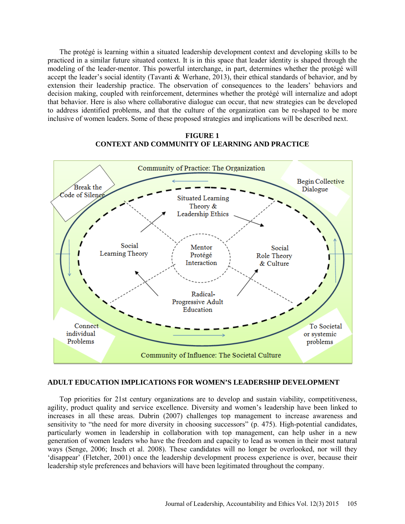The protégé is learning within a situated leadership development context and developing skills to be practiced in a similar future situated context. It is in this space that leader identity is shaped through the modeling of the leader-mentor. This powerful interchange, in part, determines whether the protégé will accept the leader's social identity (Tavanti & Werhane, 2013), their ethical standards of behavior, and by extension their leadership practice. The observation of consequences to the leaders' behaviors and decision making, coupled with reinforcement, determines whether the protégé will internalize and adopt that behavior. Here is also where collaborative dialogue can occur, that new strategies can be developed to address identified problems, and that the culture of the organization can be re-shaped to be more inclusive of women leaders. Some of these proposed strategies and implications will be described next.

### **FIGURE 1 CONTEXT AND COMMUNITY OF LEARNING AND PRACTICE**



### **ADULT EDUCATION IMPLICATIONS FOR WOMEN'S LEADERSHIP DEVELOPMENT**

Top priorities for 21st century organizations are to develop and sustain viability, competitiveness, agility, product quality and service excellence. Diversity and women's leadership have been linked to increases in all these areas. Dubrin (2007) challenges top management to increase awareness and sensitivity to "the need for more diversity in choosing successors" (p. 475). High-potential candidates, particularly women in leadership in collaboration with top management, can help usher in a new generation of women leaders who have the freedom and capacity to lead as women in their most natural ways (Senge, 2006; Insch et al. 2008). These candidates will no longer be overlooked, nor will they 'disappear' (Fletcher, 2001) once the leadership development process experience is over, because their leadership style preferences and behaviors will have been legitimated throughout the company.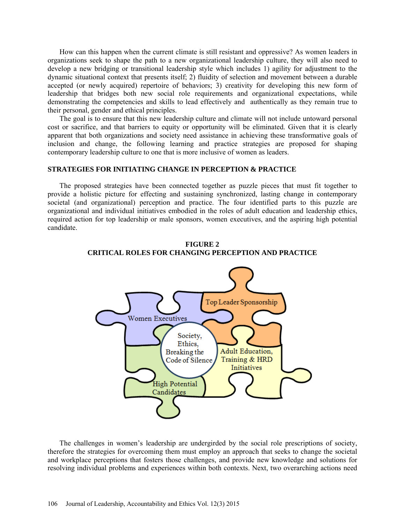How can this happen when the current climate is still resistant and oppressive? As women leaders in organizations seek to shape the path to a new organizational leadership culture, they will also need to develop a new bridging or transitional leadership style which includes 1) agility for adjustment to the dynamic situational context that presents itself; 2) fluidity of selection and movement between a durable accepted (or newly acquired) repertoire of behaviors; 3) creativity for developing this new form of leadership that bridges both new social role requirements and organizational expectations, while demonstrating the competencies and skills to lead effectively and authentically as they remain true to their personal, gender and ethical principles.

The goal is to ensure that this new leadership culture and climate will not include untoward personal cost or sacrifice, and that barriers to equity or opportunity will be eliminated. Given that it is clearly apparent that both organizations and society need assistance in achieving these transformative goals of inclusion and change, the following learning and practice strategies are proposed for shaping contemporary leadership culture to one that is more inclusive of women as leaders.

### **STRATEGIES FOR INITIATING CHANGE IN PERCEPTION & PRACTICE**

The proposed strategies have been connected together as puzzle pieces that must fit together to provide a holistic picture for effecting and sustaining synchronized, lasting change in contemporary societal (and organizational) perception and practice. The four identified parts to this puzzle are organizational and individual initiatives embodied in the roles of adult education and leadership ethics, required action for top leadership or male sponsors, women executives, and the aspiring high potential candidate.



**FIGURE 2 CRITICAL ROLES FOR CHANGING PERCEPTION AND PRACTICE**

The challenges in women's leadership are undergirded by the social role prescriptions of society, therefore the strategies for overcoming them must employ an approach that seeks to change the societal and workplace perceptions that fosters those challenges, and provide new knowledge and solutions for resolving individual problems and experiences within both contexts. Next, two overarching actions need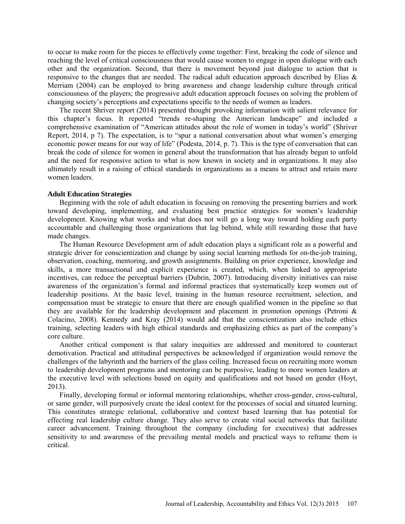to occur to make room for the pieces to effectively come together: First, breaking the code of silence and reaching the level of critical consciousness that would cause women to engage in open dialogue with each other and the organization. Second, that there is movement beyond just dialogue to action that is responsive to the changes that are needed. The radical adult education approach described by Elias & Merriam (2004) can be employed to bring awareness and change leadership culture through critical consciousness of the players; the progressive adult education approach focuses on solving the problem of changing society's perceptions and expectations specific to the needs of women as leaders.

The recent Shriver report (2014) presented thought provoking information with salient relevance for this chapter's focus. It reported "trends re-shaping the American landscape" and included a comprehensive examination of "American attitudes about the role of women in today's world" (Shriver Report, 2014, p 7). The expectation, is to "spur a national conversation about what women's emerging economic power means for our way of life" (Podesta, 2014, p. 7). This is the type of conversation that can break the code of silence for women in general about the transformation that has already begun to unfold and the need for responsive action to what is now known in society and in organizations. It may also ultimately result in a raising of ethical standards in organizations as a means to attract and retain more women leaders.

### **Adult Education Strategies**

Beginning with the role of adult education in focusing on removing the presenting barriers and work toward developing, implementing, and evaluating best practice strategies for women's leadership development. Knowing what works and what does not will go a long way toward holding each party accountable and challenging those organizations that lag behind, while still rewarding those that have made changes.

The Human Resource Development arm of adult education plays a significant role as a powerful and strategic driver for conscientization and change by using social learning methods for on-the-job training, observation, coaching, mentoring, and growth assignments. Building on prior experience, knowledge and skills, a more transactional and explicit experience is created, which, when linked to appropriate incentives, can reduce the perceptual barriers (Dubrin, 2007). Introducing diversity initiatives can raise awareness of the organization's formal and informal practices that systematically keep women out of leadership positions. At the basic level, training in the human resource recruitment, selection, and compensation must be strategic to ensure that there are enough qualified women in the pipeline so that they are available for the leadership development and placement in promotion openings (Petroni & Colacino, 2008). Kennedy and Kray (2014) would add that the conscientization also include ethics training, selecting leaders with high ethical standards and emphasizing ethics as part of the company's core culture.

Another critical component is that salary inequities are addressed and monitored to counteract demotivation. Practical and attitudinal perspectives be acknowledged if organization would remove the challenges of the labyrinth and the barriers of the glass ceiling. Increased focus on recruiting more women to leadership development programs and mentoring can be purposive, leading to more women leaders at the executive level with selections based on equity and qualifications and not based on gender (Hoyt, 2013).

Finally, developing formal or informal mentoring relationships, whether cross-gender, cross-cultural, or same gender, will purposively create the ideal context for the processes of social and situated learning. This constitutes strategic relational, collaborative and context based learning that has potential for effecting real leadership culture change. They also serve to create vital social networks that facilitate career advancement. Training throughout the company (including for executives) that addresses sensitivity to and awareness of the prevailing mental models and practical ways to reframe them is critical.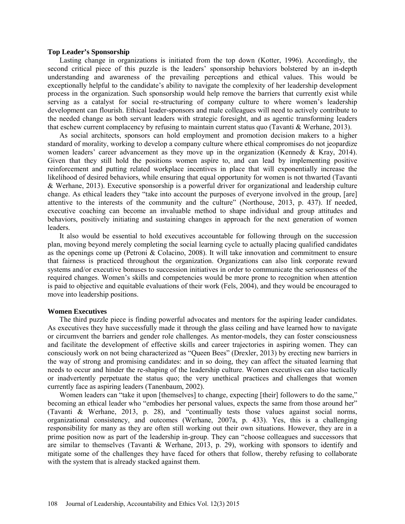### **Top Leader's Sponsorship**

Lasting change in organizations is initiated from the top down (Kotter, 1996). Accordingly, the second critical piece of this puzzle is the leaders' sponsorship behaviors bolstered by an in-depth understanding and awareness of the prevailing perceptions and ethical values. This would be exceptionally helpful to the candidate's ability to navigate the complexity of her leadership development process in the organization. Such sponsorship would help remove the barriers that currently exist while serving as a catalyst for social re-structuring of company culture to where women's leadership development can flourish. Ethical leader-sponsors and male colleagues will need to actively contribute to the needed change as both servant leaders with strategic foresight, and as agentic transforming leaders that eschew current complacency by refusing to maintain current status quo (Tavanti & Werhane, 2013).

As social architects, sponsors can hold employment and promotion decision makers to a higher standard of morality, working to develop a company culture where ethical compromises do not jeopardize women leaders' career advancement as they move up in the organization (Kennedy & Kray, 2014). Given that they still hold the positions women aspire to, and can lead by implementing positive reinforcement and putting related workplace incentives in place that will exponentially increase the likelihood of desired behaviors, while ensuring that equal opportunity for women is not thwarted (Tavanti & Werhane, 2013). Executive sponsorship is a powerful driver for organizational and leadership culture change. As ethical leaders they "take into account the purposes of everyone involved in the group, [are] attentive to the interests of the community and the culture" (Northouse, 2013, p. 437). If needed, executive coaching can become an invaluable method to shape individual and group attitudes and behaviors, positively initiating and sustaining changes in approach for the next generation of women leaders.

It also would be essential to hold executives accountable for following through on the succession plan, moving beyond merely completing the social learning cycle to actually placing qualified candidates as the openings come up (Petroni & Colacino, 2008). It will take innovation and commitment to ensure that fairness is practiced throughout the organization. Organizations can also link corporate reward systems and/or executive bonuses to succession initiatives in order to communicate the seriousness of the required changes. Women's skills and competencies would be more prone to recognition when attention is paid to objective and equitable evaluations of their work (Fels, 2004), and they would be encouraged to move into leadership positions.

#### **Women Executives**

The third puzzle piece is finding powerful advocates and mentors for the aspiring leader candidates. As executives they have successfully made it through the glass ceiling and have learned how to navigate or circumvent the barriers and gender role challenges. As mentor-models, they can foster consciousness and facilitate the development of effective skills and career trajectories in aspiring women. They can consciously work on not being characterized as "Queen Bees" (Drexler, 2013) by erecting new barriers in the way of strong and promising candidates: and in so doing, they can affect the situated learning that needs to occur and hinder the re-shaping of the leadership culture. Women executives can also tactically or inadvertently perpetuate the status quo; the very unethical practices and challenges that women currently face as aspiring leaders (Tanenbaum, 2002).

Women leaders can "take it upon [themselves] to change, expecting [their] followers to do the same," becoming an ethical leader who "embodies her personal values, expects the same from those around her" (Tavanti & Werhane, 2013, p. 28), and "continually tests those values against social norms, organizational consistency, and outcomes (Werhane, 2007a, p. 433). Yes, this is a challenging responsibility for many as they are often still working out their own situations. However, they are in a prime position now as part of the leadership in-group. They can "choose colleagues and successors that are similar to themselves (Tavanti & Werhane, 2013, p. 29), working with sponsors to identify and mitigate some of the challenges they have faced for others that follow, thereby refusing to collaborate with the system that is already stacked against them.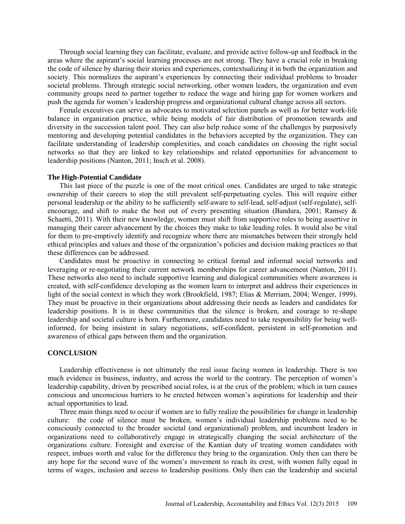Through social learning they can facilitate, evaluate, and provide active follow-up and feedback in the areas where the aspirant's social learning processes are not strong. They have a crucial role in breaking the code of silence by sharing their stories and experiences, contextualizing it in both the organization and society. This normalizes the aspirant's experiences by connecting their individual problems to broader societal problems. Through strategic social networking, other women leaders, the organization and even community groups need to partner together to reduce the wage and hiring gap for women workers and push the agenda for women's leadership progress and organizational cultural change across all sectors.

Female executives can serve as advocates to motivated selection panels as well as for better work-life balance in organization practice, while being models of fair distribution of promotion rewards and diversity in the succession talent pool. They can also help reduce some of the challenges by purposively mentoring and developing potential candidates in the behaviors accepted by the organization. They can facilitate understanding of leadership complexities, and coach candidates on choosing the right social networks so that they are linked to key relationships and related opportunities for advancement to leadership positions (Nanton, 2011; Insch et al. 2008).

#### **The High-Potential Candidate**

This last piece of the puzzle is one of the most critical ones. Candidates are urged to take strategic ownership of their careers to stop the still prevalent self-perpetuating cycles. This will require either personal leadership or the ability to be sufficiently self-aware to self-lead, self-adjust (self-regulate), selfencourage, and shift to make the best out of every presenting situation (Bandura, 2001; Ramsey & Schaetti, 2011). With their new knowledge, women must shift from supportive roles to being assertive in managing their career advancement by the choices they make to take leading roles. It would also be vital for them to pre-emptively identify and recognize where there are mismatches between their strongly held ethical principles and values and those of the organization's policies and decision making practices so that these differences can be addressed.

Candidates must be proactive in connecting to critical formal and informal social networks and leveraging or re-negotiating their current network memberships for career advancement (Nanton, 2011). These networks also need to include supportive learning and dialogical communities where awareness is created, with self-confidence developing as the women learn to interpret and address their experiences in light of the social context in which they work (Brookfield, 1987; Elias & Merriam, 2004; Wenger, 1999). They must be proactive in their organizations about addressing their needs as leaders and candidates for leadership positions. It is in these communities that the silence is broken, and courage to re-shape leadership and societal culture is born. Furthermore, candidates need to take responsibility for being wellinformed, for being insistent in salary negotiations, self-confident, persistent in self-promotion and awareness of ethical gaps between them and the organization.

### **CONCLUSION**

Leadership effectiveness is not ultimately the real issue facing women in leadership. There is too much evidence in business, industry, and across the world to the contrary. The perception of women's leadership capability, driven by prescribed social roles, is at the crux of the problem; which in turn causes conscious and unconscious barriers to be erected between women's aspirations for leadership and their actual opportunities to lead.

Three main things need to occur if women are to fully realize the possibilities for change in leadership culture: the code of silence must be broken, women's individual leadership problems need to be consciously connected to the broader societal (and organizational) problem, and incumbent leaders in organizations need to collaboratively engage in strategically changing the social architecture of the organizations culture. Foresight and exercise of the Kantian duty of treating women candidates with respect, imbues worth and value for the difference they bring to the organization. Only then can there be any hope for the second wave of the women's movement to reach its crest, with women fully equal in terms of wages, inclusion and access to leadership positions. Only then can the leadership and societal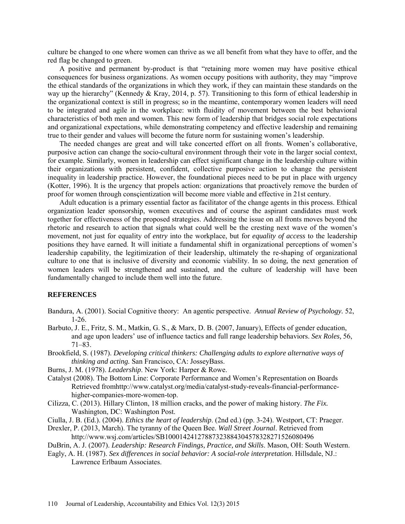culture be changed to one where women can thrive as we all benefit from what they have to offer, and the red flag be changed to green.

A positive and permanent by-product is that "retaining more women may have positive ethical consequences for business organizations. As women occupy positions with authority, they may "improve the ethical standards of the organizations in which they work, if they can maintain these standards on the way up the hierarchy" (Kennedy & Kray, 2014, p. 57). Transitioning to this form of ethical leadership in the organizational context is still in progress; so in the meantime, contemporary women leaders will need to be integrated and agile in the workplace: with fluidity of movement between the best behavioral characteristics of both men and women. This new form of leadership that bridges social role expectations and organizational expectations, while demonstrating competency and effective leadership and remaining true to their gender and values will become the future norm for sustaining women's leadership.

The needed changes are great and will take concerted effort on all fronts. Women's collaborative, purposive action can change the socio-cultural environment through their vote in the larger social context, for example. Similarly, women in leadership can effect significant change in the leadership culture within their organizations with persistent, confident, collective purposive action to change the persistent inequality in leadership practice. However, the foundational pieces need to be put in place with urgency (Kotter, 1996). It is the urgency that propels action: organizations that proactively remove the burden of proof for women through consçientization will become more viable and effective in 21st century.

Adult education is a primary essential factor as facilitator of the change agents in this process. Ethical organization leader sponsorship, women executives and of course the aspirant candidates must work together for effectiveness of the proposed strategies. Addressing the issue on all fronts moves beyond the rhetoric and research to action that signals what could well be the cresting next wave of the women's movement, not just for equality of *entry* into the workplace, but for *equality of access* to the leadership positions they have earned. It will initiate a fundamental shift in organizational perceptions of women's leadership capability, the legitimization of their leadership, ultimately the re-shaping of organizational culture to one that is inclusive of diversity and economic viability. In so doing, the next generation of women leaders will be strengthened and sustained, and the culture of leadership will have been fundamentally changed to include them well into the future.

### **REFERENCES**

- Bandura, A. (2001). Social Cognitive theory: An agentic perspective. *Annual Review of Psychology.* 52, 1-26.
- Barbuto, J. E., Fritz, S. M., Matkin, G. S., & Marx, D. B. (2007, January), Effects of gender education, and age upon leaders' use of influence tactics and full range leadership behaviors. *Sex Roles,* 56, 71–83.
- Brookfield, S. (1987). *Developing critical thinkers: Challenging adults to explore alternative ways of thinking and acting.* San Francisco, CA: JosseyBass.
- Burns, J. M. (1978). *Leadership*. New York: Harper & Rowe.
- Catalyst (2008). The Bottom Line: Corporate Performance and Women's Representation on Boards Retrieved fromhttp://www.catalyst.org/media/catalyst-study-reveals-financial-performancehigher-companies-more-women-top.
- Cilizza, C. (2013). Hillary Clinton, 18 million cracks, and the power of making history. *The Fix.* Washington, DC: Washington Post.
- Ciulla, J. B. (Ed.). (2004). *Ethics the heart of leadership*. (2nd ed.) (pp. 3-24). Westport, CT: Praeger.
- Drexler, P. (2013, March). The tyranny of the Queen Bee. *Wall Street Journal*. Retrieved from http://www.wsj.com/articles/SB10001424127887323884304578328271526080496
- DuBrin, A. J. (2007). *Leadership: Research Findings, Practice, and Skills*. Mason, OH: South Western.
- Eagly, A. H. (1987). *Sex differences in social behavior: A social-role interpretation*. Hillsdale, NJ.: Lawrence Erlbaum Associates.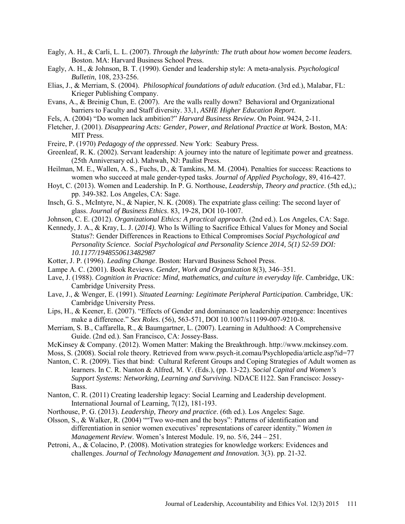- Eagly, A. H., & Carli, L. L. (2007). *Through the labyrinth: The truth about how women become leaders.* Boston. MA: Harvard Business School Press.
- Eagly, A. H., & Johnson, B. T. (1990). Gender and leadership style: A meta-analysis. *Psychological Bulletin*, 108, 233-256.
- Elias, J., & Merriam, S. (2004). *Philosophical foundations of adult education*. (3rd ed.), Malabar, FL: Krieger Publishing Company.
- Evans, A., & Breinig Chun, E. (2007). Are the walls really down? Behavioral and Organizational barriers to Faculty and Staff diversity. 33,1, *ASHE Higher Education Report*.
- Fels, A. (2004) "Do women lack ambition?" *Harvard Business Review*. On Point. 9424, 2-11.
- Fletcher, J. (2001). *Disappearing Acts: Gender, Power, and Relational Practice at Work*. Boston, MA: MIT Press.
- Freire, P. (1970) *Pedagogy of the oppressed*. New York: Seabury Press.
- Greenleaf, R. K. (2002). Servant leadership: A journey into the nature of legitimate power and greatness. (25th Anniversary ed.). Mahwah, NJ: Paulist Press.
- Heilman, M. E., Wallen, A. S., Fuchs, D., & Tamkins, M. M. (2004). Penalties for success: Reactions to women who succeed at male gender-typed tasks. *Journal of Applied Psychology*, 89, 416-427.
- Hoyt, C. (2013). Women and Leadership. In P. G. Northouse, *Leadership, Theory and practice*. (5th ed,),; pp. 349-382. Los Angeles, CA: Sage.
- Insch, G. S., McIntyre, N., & Napier, N. K. (2008). The expatriate glass ceiling: The second layer of glass. *Journal of Business Ethics*. 83, 19-28, DOI 10-1007.
- Johnson, C. E. (2012). *Organizational Ethics: A practical approach*. (2nd ed.). Los Angeles, CA: Sage.
- Kennedy, J. A., & Kray, L. J. (*2014).* Who Is Willing to Sacrifice Ethical Values for Money and Social Status?: Gender Differences in Reactions to Ethical Compromises *Social Psychological and Personality Science. Social Psychological and Personality Science 2014, 5(1) 52-59 DOI: 10.1177/1948550613482987*
- Kotter, J. P. (1996). *Leading Change*. Boston: Harvard Business School Press.
- Lampe A. C. (2001). Book Reviews. *Gender, Work and Organization* 8(3), 346–351.
- Lave, J. (1988). *Cognition in Practice: Mind, mathematics, and culture in everyday life*. Cambridge, UK: Cambridge University Press.
- Lave, J., & Wenger, E. (1991). *Situated Learning: Legitimate Peripheral Participation*. Cambridge, UK: Cambridge University Press.
- Lips, H., & Keener, E. (2007). "Effects of Gender and dominance on leadership emergence: Incentives make a difference." *Sex Roles*. (56), 563-571, DOI 10.1007/s11199-007-9210-8.
- Merriam, S. B., Caffarella, R., & Baumgartner, L. (2007). [Learning in Adulthood: A Comprehensive](http://www.amazon.com/dp/0787975885/ref=rdr_ext_tmb)  [Guide.](http://www.amazon.com/dp/0787975885/ref=rdr_ext_tmb) (2nd ed.). San Francisco, CA: Jossey-Bass.
- McKinsey & Company. (2012). Women Matter: Making the Breakthrough. http://www.mckinsey.com.
- Moss, S. (2008). Social role theory. Retrieved from [www.psych-i](http://www.psych-/)t.comau/Psychlopedia/article.asp?id=77
- Nanton, C. R. (2009). Ties that bind: Cultural Referent Groups and Coping Strategies of Adult women as learners. In C. R. Nanton & Alfred, M. V. (Eds.), (pp. 13-22). *Social Capital and Women's Support Systems: Networking, Learning and Surviving.* NDACE I122. San Francisco: Jossey-Bass.
- Nanton, C. R. (2011) Creating leadership legacy: Social Learning and Leadership development. International Journal of Learning, 7(12), 181-193.
- Northouse, P. G. (2013). *Leadership, Theory and practice*. (6th ed.). Los Angeles: Sage.
- Olsson, S., & Walker, R. (2004) ""Two wo-men and the boys": Patterns of identification and differentiation in senior women executives' representations of career identity." *Women in Management Review*. Women's Interest Module. 19, no. 5/6, 244 – 251.
- Petroni, A., & Colacino, P. (2008). Motivation strategies for knowledge workers: Evidences and challenges. *Journal of Technology Management and Innovation.* 3(3). pp. 21-32.